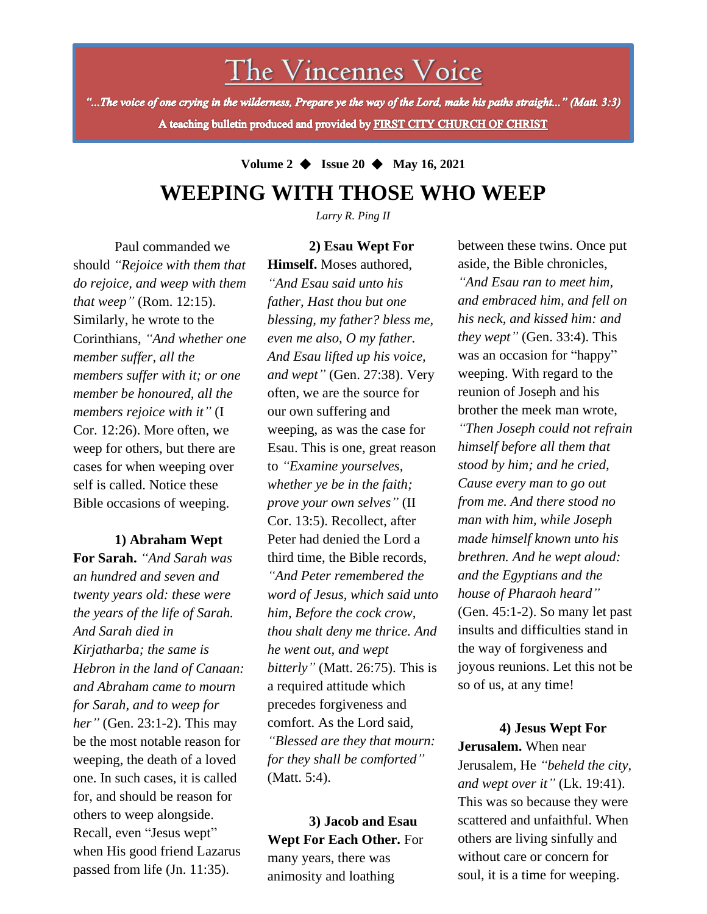The Vincennes Voice

"...The voice of one crying in the wilderness, Prepare ye the way of the Lord, make his paths straight..." (Matt. 3:3) A teaching bulletin produced and provided by FIRST CITY CHURCH OF CHRIST

## **Volume 2** ◆ **Issue 20** ◆ **May 16, 2021 WEEPING WITH THOSE WHO WEEP**

*Larry R. Ping II*

**2) Esau Wept For** 

Paul commanded we should *"Rejoice with them that do rejoice, and weep with them that weep"* (Rom. 12:15). Similarly, he wrote to the Corinthians, *"And whether one member suffer, all the members suffer with it; or one member be honoured, all the members rejoice with it"* (I Cor. 12:26). More often, we weep for others, but there are cases for when weeping over self is called. Notice these Bible occasions of weeping.

## **1) Abraham Wept**

for, and should be reason for **For Sarah.** *"And Sarah was an hundred and seven and twenty years old: these were the years of the life of Sarah. And Sarah died in Kirjatharba; the same is Hebron in the land of Canaan: and Abraham came to mourn for Sarah, and to weep for her"* (Gen. 23:1-2). This may be the most notable reason for weeping, the death of a loved one. In such cases, it is called others to weep alongside. Recall, even "Jesus wept" when His good friend Lazarus passed from life (Jn. 11:35).

**Himself.** Moses authored, *"And Esau said unto his father, Hast thou but one blessing, my father? bless me, even me also, O my father. And Esau lifted up his voice, and wept"* (Gen. 27:38). Very often, we are the source for our own suffering and weeping, as was the case for Esau. This is one, great reason to *"Examine yourselves, whether ye be in the faith; prove your own selves"* (II Cor. 13:5). Recollect, after Peter had denied the Lord a third time, the Bible records, *"And Peter remembered the word of Jesus, which said unto him, Before the cock crow, thou shalt deny me thrice. And he went out, and wept bitterly"* (Matt. 26:75). This is a required attitude which precedes forgiveness and comfort. As the Lord said, *"Blessed are they that mourn: for they shall be comforted"* (Matt. 5:4).

**3) Jacob and Esau Wept For Each Other.** For many years, there was animosity and loathing

between these twins. Once put aside, the Bible chronicles, *"And Esau ran to meet him, and embraced him, and fell on his neck, and kissed him: and they wept"* (Gen. 33:4). This was an occasion for "happy" weeping. With regard to the reunion of Joseph and his brother the meek man wrote, *"Then Joseph could not refrain himself before all them that stood by him; and he cried, Cause every man to go out from me. And there stood no man with him, while Joseph made himself known unto his brethren. And he wept aloud: and the Egyptians and the house of Pharaoh heard"* (Gen. 45:1-2). So many let past insults and difficulties stand in the way of forgiveness and joyous reunions. Let this not be so of us, at any time!

**4) Jesus Wept For Jerusalem.** When near Jerusalem, He *"beheld the city, and wept over it"* (Lk. 19:41). This was so because they were scattered and unfaithful. When others are living sinfully and without care or concern for soul, it is a time for weeping.